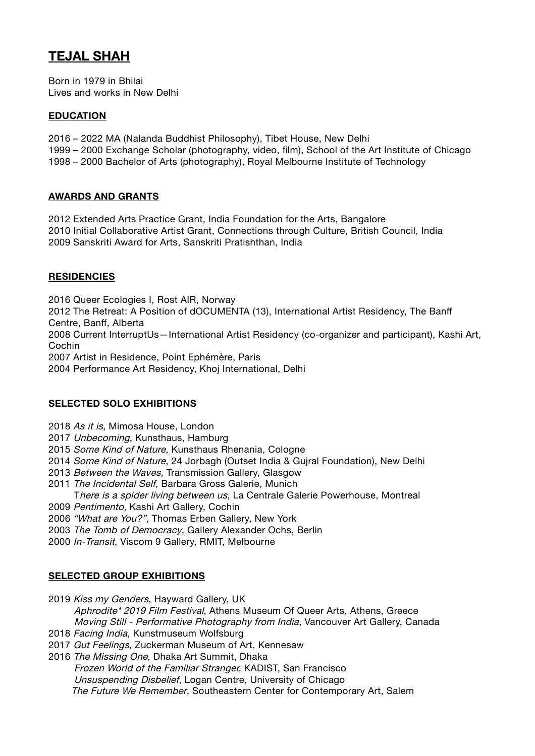# **TEJAL SHAH**

Born in 1979 in Bhilai Lives and works in New Delhi

#### **EDUCATION**

- 2016 2022 MA (Nalanda Buddhist Philosophy), Tibet House, New Delhi
- 1999 2000 Exchange Scholar (photography, video, film), School of the Art Institute of Chicago
- 1998 2000 Bachelor of Arts (photography), Royal Melbourne Institute of Technology

#### **AWARDS AND GRANTS**

2012 Extended Arts Practice Grant, India Foundation for the Arts, Bangalore 2010 Initial Collaborative Artist Grant, Connections through Culture, British Council, India 2009 Sanskriti Award for Arts, Sanskriti Pratishthan, India

#### **RESIDENCIES**

2016 Queer Ecologies I, Rost AIR, Norway 2012 The Retreat: A Position of dOCUMENTA (13), International Artist Residency, The Banff Centre, Banff, Alberta 2008 Current InterruptUs—International Artist Residency (co-organizer and participant), Kashi Art, Cochin 2007 Artist in Residence, Point Ephémère, Paris

2004 Performance Art Residency, Khoj International, Delhi

### **SELECTED SOLO EXHIBITIONS**

- 2018 As it is, Mimosa House, London
- 2017 Unbecoming, Kunsthaus, Hamburg
- 2015 Some Kind of Nature, Kunsthaus Rhenania, Cologne
- 2014 Some Kind of Nature, 24 Jorbagh (Outset India & Guiral Foundation), New Delhi
- 2013 Between the Waves, Transmission Gallery, Glasgow
- 2011 The Incidental Self, Barbara Gross Galerie, Munich
- There is a spider living between us, La Centrale Galerie Powerhouse, Montreal
- 2009 Pentimento, Kashi Art Gallery, Cochin
- 2006 "What are You?", Thomas Erben Gallery, New York
- 2003 The Tomb of Democracy, Gallery Alexander Ochs, Berlin
- 2000 In-Transit, Viscom 9 Gallery, RMIT, Melbourne

## **SELECTED GROUP EXHIBITIONS**

2019 Kiss my Genders, Hayward Gallery, UK

 Aphrodite\* 2019 Film Festival, Athens Museum Of Queer Arts, Athens, Greece Moving Still - Performative Photography from India, Vancouver Art Gallery, Canada 2018 Facing India, Kunstmuseum Wolfsburg

- 
- 2017 Gut Feelings, Zuckerman Museum of Art, Kennesaw
- 2016 The Missing One, Dhaka Art Summit, Dhaka Frozen World of the Familiar Stranger, KADIST, San Francisco Unsuspending Disbelief, Logan Centre, University of Chicago The Future We Remember, Southeastern Center for Contemporary Art, Salem